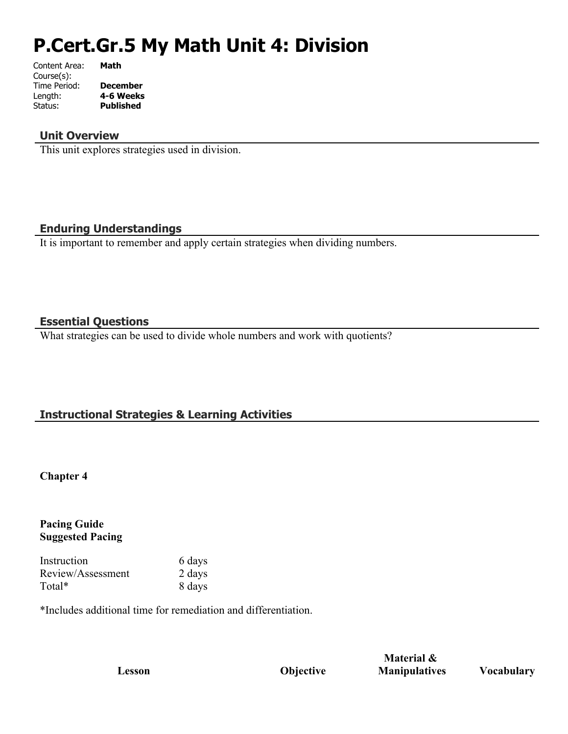# **P.Cert.Gr.5 My Math Unit 4: Division**

| Content Area: | Math             |
|---------------|------------------|
| Course(s):    |                  |
| Time Period:  | <b>December</b>  |
| Length:       | 4-6 Weeks        |
| Status:       | <b>Published</b> |
|               |                  |

# **Unit Overview**

This unit explores strategies used in division.

# **Enduring Understandings**

It is important to remember and apply certain strategies when dividing numbers.

# **Essential Questions**

What strategies can be used to divide whole numbers and work with quotients?

# **Instructional Strategies & Learning Activities**

#### **Chapter 4**

# **Pacing Guide Suggested Pacing**

| Instruction       | 6 days |
|-------------------|--------|
| Review/Assessment | 2 days |
| Total*            | 8 days |

\*Includes additional time for remediation and differentiation.

**Lesson Objective**

**Material & Manipulatives Vocabulary**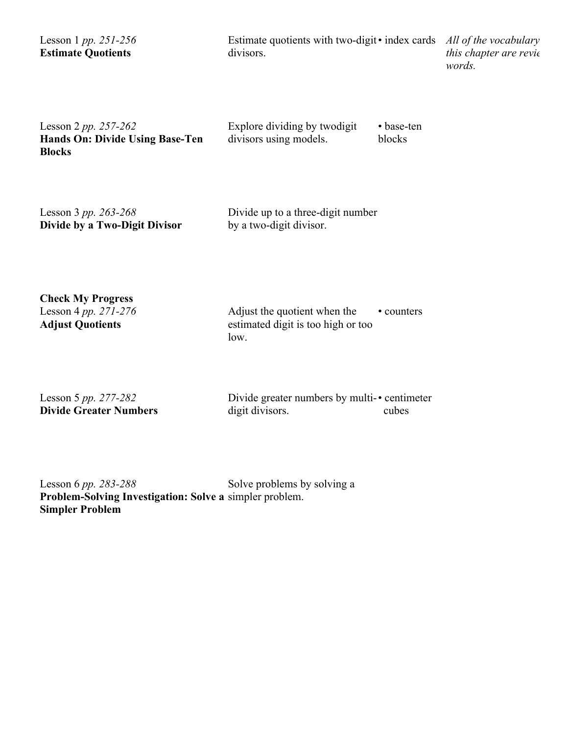| Lesson 1 <i>pp.</i> 251-256<br><b>Estimate Quotients</b>                 | Estimate quotients with two-digit • index cards<br>divisors. |                      | All of the vocabulary<br>this chapter are revie<br>words. |
|--------------------------------------------------------------------------|--------------------------------------------------------------|----------------------|-----------------------------------------------------------|
| Lesson 2 pp. 257-262<br>Hands On: Divide Using Base-Ten<br><b>Blocks</b> | Explore dividing by two digit<br>divisors using models.      | • base-ten<br>blocks |                                                           |

| Lesson 3 pp. 263-268          | Divide up to a three-digit number |
|-------------------------------|-----------------------------------|
| Divide by a Two-Digit Divisor | by a two-digit divisor.           |

**Check My Progress**  Lesson 4 *pp. 271-276* **Adjust Quotients**

Adjust the quotient when the estimated digit is too high or too low.  $\cdot$  counters

Lesson 5 *pp. 277-282* **Divide Greater Numbers**

Divide greater numbers by multi-• centimeter digit divisors. cubes

Lesson 6 *pp. 283-288* **Problem-Solving Investigation: Solve a**  simpler problem. **Simpler Problem** Solve problems by solving a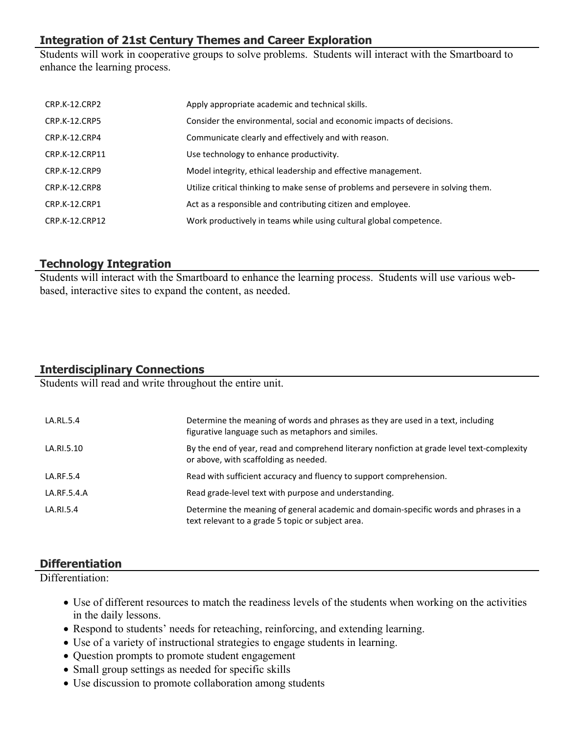# **Integration of 21st Century Themes and Career Exploration**

Students will work in cooperative groups to solve problems. Students will interact with the Smartboard to enhance the learning process.

| CRP.K-12.CRP2        | Apply appropriate academic and technical skills.                                   |
|----------------------|------------------------------------------------------------------------------------|
| <b>CRP.K-12.CRP5</b> | Consider the environmental, social and economic impacts of decisions.              |
| CRP.K-12.CRP4        | Communicate clearly and effectively and with reason.                               |
| CRP.K-12.CRP11       | Use technology to enhance productivity.                                            |
| CRP.K-12.CRP9        | Model integrity, ethical leadership and effective management.                      |
| CRP.K-12.CRP8        | Utilize critical thinking to make sense of problems and persevere in solving them. |
| <b>CRP.K-12.CRP1</b> | Act as a responsible and contributing citizen and employee.                        |
| CRP.K-12.CRP12       | Work productively in teams while using cultural global competence.                 |

# **Technology Integration**

Students will interact with the Smartboard to enhance the learning process. Students will use various webbased, interactive sites to expand the content, as needed.

# **Interdisciplinary Connections**

Students will read and write throughout the entire unit.

| LA.RL.5.4   | Determine the meaning of words and phrases as they are used in a text, including<br>figurative language such as metaphors and similes.    |
|-------------|-------------------------------------------------------------------------------------------------------------------------------------------|
| LA.RI.5.10  | By the end of year, read and comprehend literary nonfiction at grade level text-complexity<br>or above, with scaffolding as needed.       |
| LA.RF.5.4   | Read with sufficient accuracy and fluency to support comprehension.                                                                       |
| LA.RF.5.4.A | Read grade-level text with purpose and understanding.                                                                                     |
| LA.RI.5.4   | Determine the meaning of general academic and domain-specific words and phrases in a<br>text relevant to a grade 5 topic or subject area. |

# **Differentiation**

Differentiation:

- Use of different resources to match the readiness levels of the students when working on the activities in the daily lessons.
- Respond to students' needs for reteaching, reinforcing, and extending learning.
- Use of a variety of instructional strategies to engage students in learning.
- Question prompts to promote student engagement
- Small group settings as needed for specific skills
- Use discussion to promote collaboration among students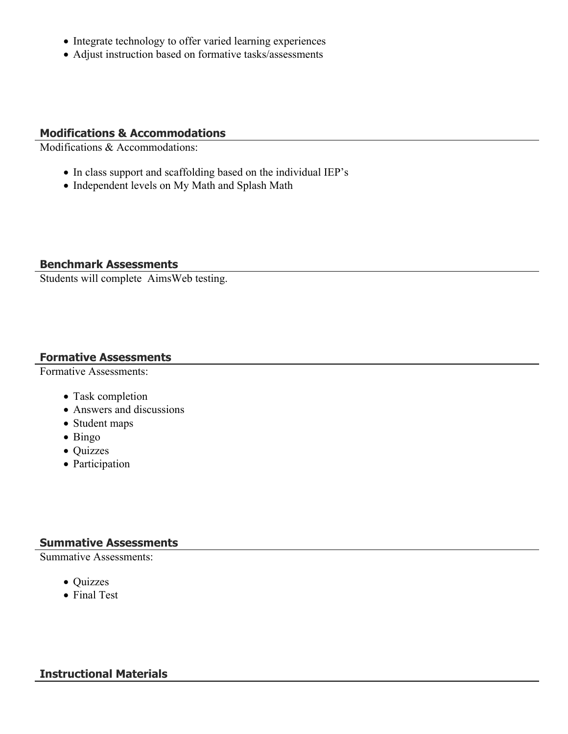- Integrate technology to offer varied learning experiences
- Adjust instruction based on formative tasks/assessments

# **Modifications & Accommodations**

Modifications & Accommodations:

- In class support and scaffolding based on the individual IEP's
- Independent levels on My Math and Splash Math

#### **Benchmark Assessments**

Students will complete AimsWeb testing.

#### **Formative Assessments**

Formative Assessments:

- Task completion
- Answers and discussions
- Student maps
- Bingo
- Quizzes
- Participation

# **Summative Assessments**

Summative Assessments:

- Quizzes
- Final Test

# **Instructional Materials**